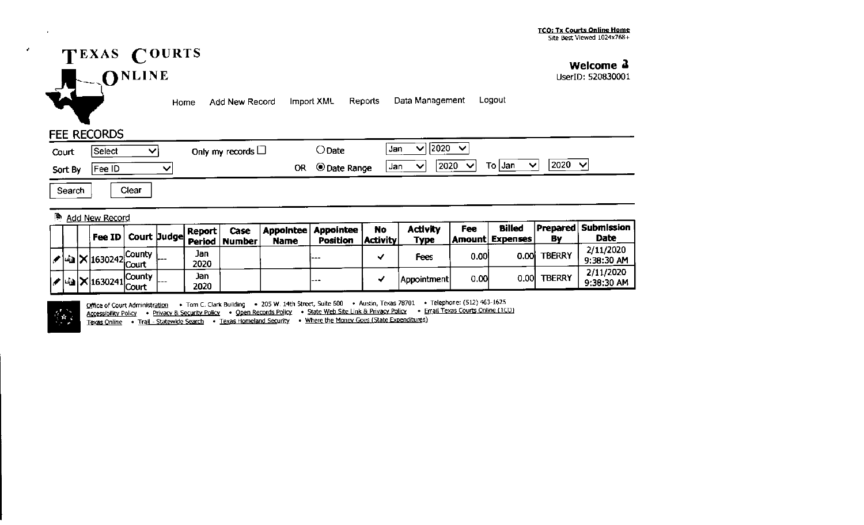

**Welcome .l** 

UserID: 520830001

Home Add New Record Import XML Reports Data Management Logout

## FEE RECORDS

 $\bullet$ 

| Court   | Select | Only my records $\Box$ | ) Date              | 12020<br>◟<br>Jan                                                                  |
|---------|--------|------------------------|---------------------|------------------------------------------------------------------------------------|
| Sort By | Fee ID | ОR                     | <b>O</b> Date Range | 2020<br>2020<br>To Jan<br>$\vee$<br>ັ<br>$\vee$<br>Jan<br>$\overline{\phantom{a}}$ |

Search | Clear

## **Add New Record**

|  |  |                                              |     | Report      | Case<br>$\frac{1}{2}$ Fee ID $\frac{1}{2}$ Court $\frac{1}{2}$ and $\frac{1}{2}$ Period $\frac{1}{2}$ Number | <b>Name</b> | <b>Appointee Appointee</b><br>Position | <b>No</b><br>  Activity | <b>Activity</b><br><b>Type</b> | Fee  | <b>Billed</b><br><b>Amount Expenses</b> | Bv            | <b>IPrepared Submission \</b><br><b>Date</b> |
|--|--|----------------------------------------------|-----|-------------|--------------------------------------------------------------------------------------------------------------|-------------|----------------------------------------|-------------------------|--------------------------------|------|-----------------------------------------|---------------|----------------------------------------------|
|  |  | $\mathcal{L}$ 43 $\mathbf{X}$ 1630242 County | $-$ | Jan<br>2020 |                                                                                                              |             | ---                                    |                         | Fees                           | 0.00 | 0.00 <sub>l</sub>                       | <b>TBERRY</b> | 2/11/2020<br>9:38:30 AM                      |
|  |  | $\sqrt{2}$ 4 $\times 1630241$ County         | --- | Jan<br>2020 |                                                                                                              |             | $- + -$                                |                         | Appointment                    | 0.00 | 0.00                                    | <b>TBERRY</b> | 2/11/2020<br>9:38:30 AM                      |

 $\frac{1}{2}$ 

Office of Court Administration • Tom C. Clark Building • 205 W. 14th Street, Suite 600 • Austin, Texas 78701 • Telephone: (512) 463-1625 Accessibility Policy • Privacy & Security Policy • Qpen Records Policy • State Web Site Link & Privacy Policy • Email Texas courts Online (TCO) Texas Online • Trail - Statewkle Search • Texas Homeland security • Where the Monev Goes (State Expenditures)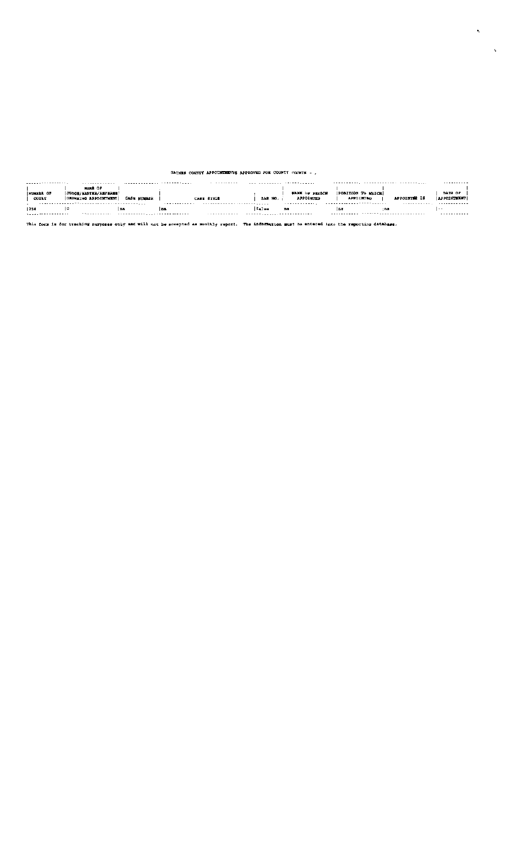## GAINES COUNTY APPOINTMENTS APPROVED FOR COUNTY COURTS - ,

 $\hat{\mathbf{r}}_i$ 

| ----------------- | .                           |             |            | .          |                |                       |                          |              | .                  |
|-------------------|-----------------------------|-------------|------------|------------|----------------|-----------------------|--------------------------|--------------|--------------------|
|                   | <b>NAME OF</b>              |             |            |            |                |                       |                          |              |                    |
| NUMBER OF         | <b>JUDGE/MASTER/REFEREE</b> |             |            |            |                | <b>NAME OF PERSON</b> | <b>POBITION TO WHICH</b> |              | DATE OF            |
| <b>COURT</b>      | OUDERING APPOINTMENT        | CASE NUMBER |            | CASE STYLE | <b>BAR NO.</b> | APPOINTED             | <b>APPOINTED</b>         | APPOINTEE IS | <b>APPOINTMENT</b> |
|                   |                             |             | .          |            |                | .                     |                          | .            | .                  |
| 1254              |                             | n.          | <b>Ins</b> |            | false          | na                    | lna                      | : <b>A</b>   | $- -$              |
| . <u>.</u>        | .                           |             |            | .          |                |                       |                          |              | . <b>.</b> .       |
|                   |                             |             |            |            |                |                       |                          |              |                    |
|                   |                             |             |            |            |                |                       |                          |              |                    |

This form is for tracking purposes only and will not be accepted as monthly report. The information must be entered into the reporting database.